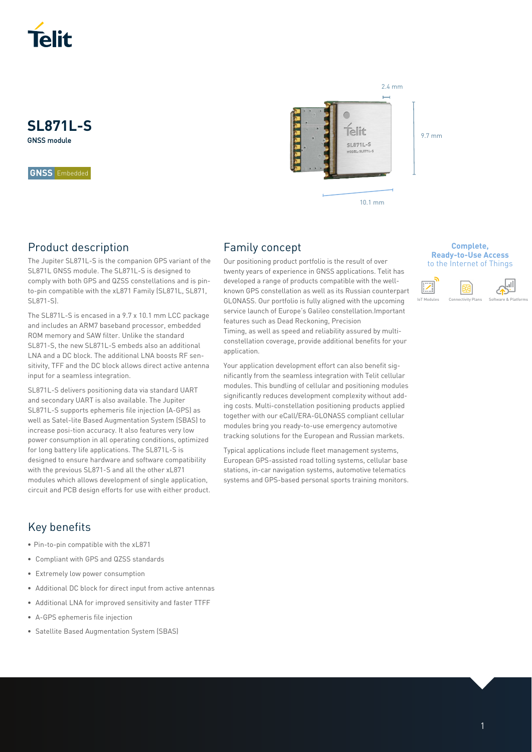

**SL871L-S** GNSS module

**GNSS** Embedded

# Product description

The Jupiter SL871L-S is the companion GPS variant of the SL871L GNSS module. The SL871L-S is designed to comply with both GPS and QZSS constellations and is pinto-pin compatible with the xL871 Family (SL871L, SL871, SL871-S).

The SL871L-S is encased in a 9.7 x 10.1 mm LCC package and includes an ARM7 baseband processor, embedded ROM memory and SAW filter. Unlike the standard SL871-S, the new SL871L-S embeds also an additional LNA and a DC block. The additional LNA boosts RF sensitivity, TFF and the DC block allows direct active antenna input for a seamless integration.

SL871L-S delivers positioning data via standard UART and secondary UART is also available. The Jupiter SL871L-S supports ephemeris file injection (A-GPS) as well as Satel-lite Based Augmentation System (SBAS) to increase posi-tion accuracy. It also features very low power consumption in all operating conditions, optimized for long battery life applications. The SL871L-S is designed to ensure hardware and software compatibility with the previous SL871-S and all the other xL871 modules which allows development of single application, circuit and PCB design efforts for use with either product.

# Family concept

Our positioning product portfolio is the result of over twenty years of experience in GNSS applications. Telit has developed a range of products compatible with the wellknown GPS constellation as well as its Russian counterpart GLONASS. Our portfolio is fully aligned with the upcoming service launch of Europe's Galileo constellation.Important features such as Dead Reckoning, Precision

Timing, as well as speed and reliability assured by multiconstellation coverage, provide additional benefits for your application.

Your application development effort can also benefit significantly from the seamless integration with Telit cellular modules. This bundling of cellular and positioning modules significantly reduces development complexity without adding costs. Multi-constellation positioning products applied together with our eCall/ERA-GLONASS compliant cellular modules bring you ready-to-use emergency automotive tracking solutions for the European and Russian markets.

Typical applications include fleet management systems, European GPS-assisted road tolling systems, cellular base stations, in-car navigation systems, automotive telematics systems and GPS-based personal sports training monitors.

#### **Complete, Ready-to-Use Access**  to the Internet of Things

9.7 mm



# Key benefits

- Pin-to-pin compatible with the xL871
- Compliant with GPS and QZSS standards
- Extremely low power consumption
- Additional DC block for direct input from active antennas
- Additional LNA for improved sensitivity and faster TTFF
- A-GPS ephemeris file injection
- Satellite Based Augmentation System (SBAS)